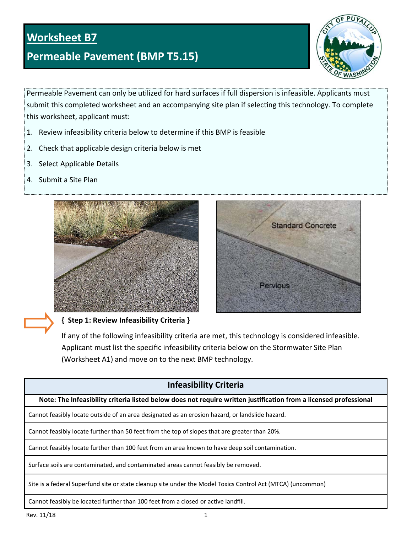# **Worksheet B7**

# **Permeable Pavement (BMP T5.15)**



Permeable Pavement can only be utilized for hard surfaces if full dispersion is infeasible. Applicants must submit this completed worksheet and an accompanying site plan if selecting this technology. To complete this worksheet, applicant must:

- 1. Review infeasibility criteria below to determine if this BMP is feasible
- 2. Check that applicable design criteria below is met
- 3. Select Applicable Details
- 4. Submit a Site Plan





### **{ Step 1: Review Infeasibility Criteria }**

If any of the following infeasibility criteria are met, this technology is considered infeasible. Applicant must list the specific infeasibility criteria below on the Stormwater Site Plan (Worksheet A1) and move on to the next BMP technology.

# **Infeasibility Criteria**

**Note: The Infeasibility criteria listed below does not require wriƩen jusƟficaƟon from a licensed professional**

Cannot feasibly locate outside of an area designated as an erosion hazard, or landslide hazard.

Cannot feasibly locate further than 50 feet from the top of slopes that are greater than 20%.

Cannot feasibly locate further than 100 feet from an area known to have deep soil contamination.

Surface soils are contaminated, and contaminated areas cannot feasibly be removed.

Site is a federal Superfund site or state cleanup site under the Model Toxics Control Act (MTCA) (uncommon)

Cannot feasibly be located further than 100 feet from a closed or active landfill.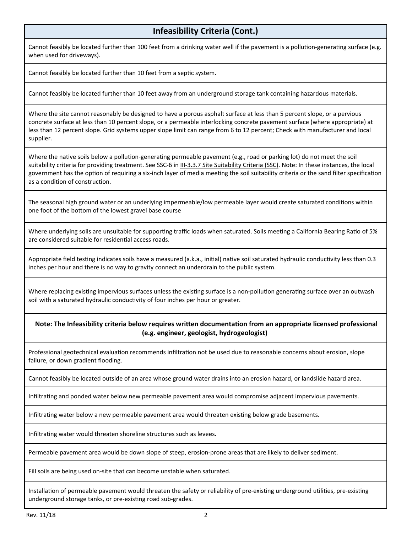# **Infeasibility Criteria (Cont.)**

Cannot feasibly be located further than 100 feet from a drinking water well if the pavement is a pollution-generating surface (e.g. when used for driveways).

Cannot feasibly be located further than 10 feet from a septic system.

Cannot feasibly be located further than 10 feet away from an underground storage tank containing hazardous materials.

Where the site cannot reasonably be designed to have a porous asphalt surface at less than 5 percent slope, or a pervious concrete surface at less than 10 percent slope, or a permeable interlocking concrete pavement surface (where appropriate) at less than 12 percent slope. Grid systems upper slope limit can range from 6 to 12 percent; Check with manufacturer and local supplier.

Where the native soils below a pollution-generating permeable pavement (e.g., road or parking lot) do not meet the soil suitability criteria for providing treatment. See SSC-6 in III-3.3.7 Site Suitability Criteria (SSC). Note: In these instances, the local government has the option of requiring a six-inch layer of media meeting the soil suitability criteria or the sand filter specification as a condition of construction.

The seasonal high ground water or an underlying impermeable/low permeable layer would create saturated conditions within one foot of the bottom of the lowest gravel base course

Where underlying soils are unsuitable for supporting traffic loads when saturated. Soils meeting a California Bearing Ratio of 5% are considered suitable for residential access roads.

Appropriate field testing indicates soils have a measured (a.k.a., initial) native soil saturated hydraulic conductivity less than 0.3 inches per hour and there is no way to gravity connect an underdrain to the public system.

Where replacing existing impervious surfaces unless the existing surface is a non-pollution generating surface over an outwash soil with a saturated hydraulic conductivity of four inches per hour or greater.

#### **Note: The Infeasibility criteria below requires wriƩen documentaƟon from an appropriate licensed professional (e.g. engineer, geologist, hydrogeologist)**

Professional geotechnical evaluation recommends infiltration not be used due to reasonable concerns about erosion, slope failure, or down gradient flooding.

Cannot feasibly be located outside of an area whose ground water drains into an erosion hazard, or landslide hazard area.

Infiltrating and ponded water below new permeable pavement area would compromise adjacent impervious pavements.

Infiltrating water below a new permeable pavement area would threaten existing below grade basements.

Infiltrating water would threaten shoreline structures such as levees.

Permeable pavement area would be down slope of steep, erosion‐prone areas that are likely to deliver sediment.

Fill soils are being used on-site that can become unstable when saturated.

Installation of permeable pavement would threaten the safety or reliability of pre-existing underground utilities, pre-existing underground storage tanks, or pre-existing road sub-grades.